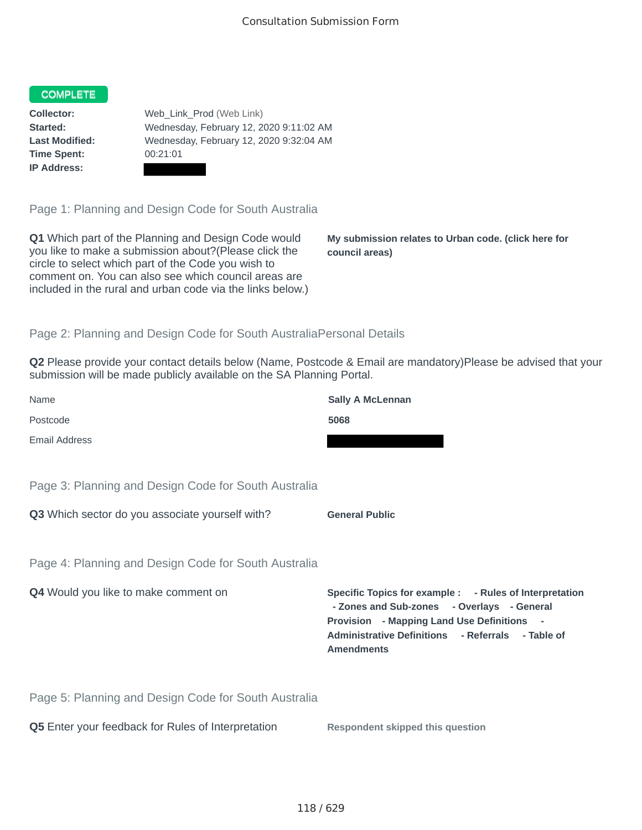## COMPLETE

**Time Spent:** 00:21:01 **IP Address:**

**Collector:** Web\_Link\_Prod (Web Link) **Started:** Wednesday, February 12, 2020 9:11:02 AM **Last Modified:** Wednesday, February 12, 2020 9:32:04 AM

Page 1: Planning and Design Code for South Australia

**Q1** Which part of the Planning and Design Code would you like to make a submission about?(Please click the circle to select which part of the Code you wish to comment on. You can also see which council areas are included in the rural and urban code via the links below.)

**My submission relates to Urban code. (click here for council areas)**

## Page 2: Planning and Design Code for South AustraliaPersonal Details

**Q2** Please provide your contact details below (Name, Postcode & Email are mandatory)Please be advised that your submission will be made publicly available on the SA Planning Portal.

| Name                                                 | <b>Sally A McLennan</b>                                                                                                                                                                                                       |
|------------------------------------------------------|-------------------------------------------------------------------------------------------------------------------------------------------------------------------------------------------------------------------------------|
| Postcode                                             | 5068                                                                                                                                                                                                                          |
| <b>Email Address</b>                                 |                                                                                                                                                                                                                               |
|                                                      |                                                                                                                                                                                                                               |
| Page 3: Planning and Design Code for South Australia |                                                                                                                                                                                                                               |
| Q3 Which sector do you associate yourself with?      | <b>General Public</b>                                                                                                                                                                                                         |
|                                                      |                                                                                                                                                                                                                               |
| Page 4: Planning and Design Code for South Australia |                                                                                                                                                                                                                               |
| Q4 Would you like to make comment on                 | Specific Topics for example : - Rules of Interpretation<br>- Zones and Sub-zones - Overlays - General<br>Provision - Mapping Land Use Definitions -<br>Administrative Definitions - Referrals - Table of<br><b>Amendments</b> |
| Page 5: Planning and Design Code for South Australia |                                                                                                                                                                                                                               |
| Q5 Enter your feedback for Rules of Interpretation   | <b>Respondent skipped this question</b>                                                                                                                                                                                       |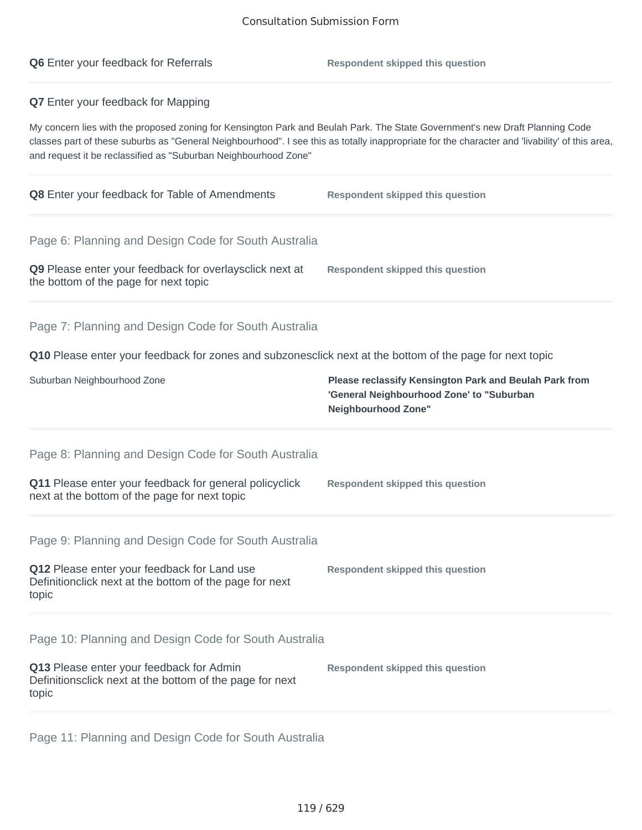| <b>Q6</b> Enter your feedback for Referrals                                                                                                                                                                                                                                                                                                       | <b>Respondent skipped this question</b>                                                                                    |
|---------------------------------------------------------------------------------------------------------------------------------------------------------------------------------------------------------------------------------------------------------------------------------------------------------------------------------------------------|----------------------------------------------------------------------------------------------------------------------------|
| Q7 Enter your feedback for Mapping                                                                                                                                                                                                                                                                                                                |                                                                                                                            |
| My concern lies with the proposed zoning for Kensington Park and Beulah Park. The State Government's new Draft Planning Code<br>classes part of these suburbs as "General Neighbourhood". I see this as totally inappropriate for the character and 'livability' of this area,<br>and request it be reclassified as "Suburban Neighbourhood Zone" |                                                                                                                            |
| <b>Q8</b> Enter your feedback for Table of Amendments                                                                                                                                                                                                                                                                                             | <b>Respondent skipped this question</b>                                                                                    |
| Page 6: Planning and Design Code for South Australia                                                                                                                                                                                                                                                                                              |                                                                                                                            |
| Q9 Please enter your feedback for overlaysclick next at<br>the bottom of the page for next topic                                                                                                                                                                                                                                                  | <b>Respondent skipped this question</b>                                                                                    |
| Page 7: Planning and Design Code for South Australia                                                                                                                                                                                                                                                                                              |                                                                                                                            |
| Q10 Please enter your feedback for zones and subzonesclick next at the bottom of the page for next topic                                                                                                                                                                                                                                          |                                                                                                                            |
| Suburban Neighbourhood Zone                                                                                                                                                                                                                                                                                                                       | Please reclassify Kensington Park and Beulah Park from<br>'General Neighbourhood Zone' to "Suburban<br>Neighbourhood Zone" |
| Page 8: Planning and Design Code for South Australia                                                                                                                                                                                                                                                                                              |                                                                                                                            |
| Q11 Please enter your feedback for general policyclick<br>next at the bottom of the page for next topic                                                                                                                                                                                                                                           | <b>Respondent skipped this question</b>                                                                                    |
| Page 9: Planning and Design Code for South Australia                                                                                                                                                                                                                                                                                              |                                                                                                                            |
| Q12 Please enter your feedback for Land use<br>Definitionclick next at the bottom of the page for next<br>topic                                                                                                                                                                                                                                   | <b>Respondent skipped this question</b>                                                                                    |
| Page 10: Planning and Design Code for South Australia                                                                                                                                                                                                                                                                                             |                                                                                                                            |
| Q13 Please enter your feedback for Admin<br>Definitionsclick next at the bottom of the page for next<br>topic                                                                                                                                                                                                                                     | <b>Respondent skipped this question</b>                                                                                    |
|                                                                                                                                                                                                                                                                                                                                                   |                                                                                                                            |

Page 11: Planning and Design Code for South Australia